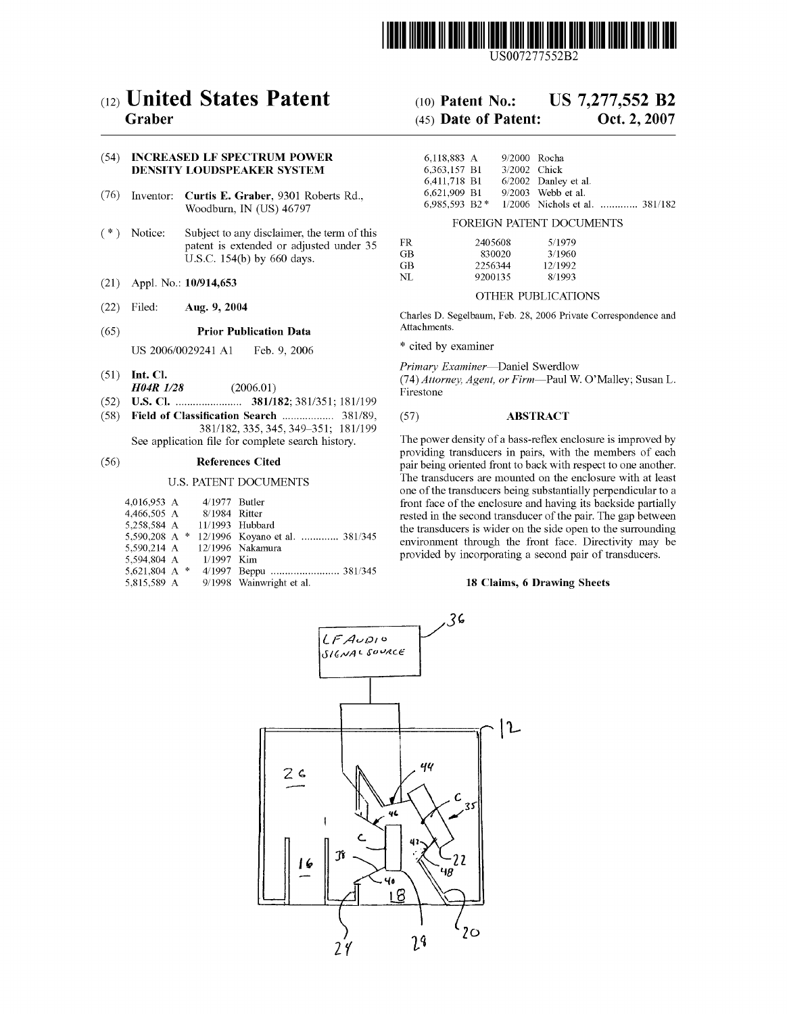

US007277552B2

# (54) INCREASED LF SPECTRUM POWER DENSITY LOUDSPEAKER SYSTEM

- (76) Inventor: **Curtis E. Graber**, 9301 Roberts Rd.,  $\begin{array}{ccc}\n6.621,909 & B1 & 9/2003 & \text{Webb et al.} \\
0.985,593 & B2 & 1/2006 & \text{Nichols et al.} \\
\end{array}$ Woodburn, IN (US) 46797
- (\*) Notice: Subject to any disclaimer, the term of this patent is extended or adjusted under 35 U.S.C. 154(b) by 660 days.
- (21) Appl. No.: 10/914,653
- 

# (65) Prior Publication Data Attachments'

US 2006/0029241 A1 Feb. 9, 2006 \* cited by examiner

- 
- 
- (52) US. Cl. ..................... .. 381/182; 381/351; 181/199
- (58) Field of Classification Search .................... 381/89, (57) ABSTRACT 381/182, 335, 345, 349-351; 181/199<br>See application file for complete search history.

### U.S. PATENT DOCUMENTS

| 4.016.953 A               |  | 4/1977 Butler |                                              |
|---------------------------|--|---------------|----------------------------------------------|
| 4,466,505 A 8/1984 Ritter |  |               |                                              |
| 5.258.584 A               |  |               | 11/1993 Hubbard                              |
|                           |  |               | 5,590,208 A * 12/1996 Koyano et al.  381/345 |
|                           |  |               | 5.590.214 A 12/1996 Nakamura                 |
| 5.594.804 A               |  | – 1/1997 Kim  |                                              |
| 5,621,804 A *             |  |               |                                              |
| 5,815,589 A               |  |               | 9/1998 Wainwright et al.                     |

# (12) United States Patent (10) Patent No.: US 7,277,552 B2

# Graber (45) Date of Patent: Oct. 2, 2007

| 6.118.883 A     | 9/2000 Rocha |                                  |  |
|-----------------|--------------|----------------------------------|--|
| 6.363.157 B1    | 3/2002 Chick |                                  |  |
| 6.411.718 B1    |              | $6/2002$ Danley et al.           |  |
| 6.621.909 B1    |              | $9/2003$ Webb et al.             |  |
| $6.985.593.82*$ |              | $1/2006$ Nichols et al $381/182$ |  |

### FOREIGN PATENT DOCUMENTS

| FR  | 2405608 | 5/1979  |
|-----|---------|---------|
|     |         |         |
| GВ  | 830020  | 3/1960  |
| GВ  | 2256344 | 12/1992 |
| NT. | 9200135 | 8/1993  |
|     |         |         |

# OTHER PUBLICATIONS

(22) Filed: Aug. 9, 2004 Charles D. Segelbaum, Feb. 28, 2006 Private Correspondence and

Primary Examiner-Daniel Swerdlow

(51) Int. Cl.  $H1$  (74) Attorney, Agent, or Firm—Paul W. O'Malley; Susan L.  $H04R$   $1/28$  (2006.01) Firestone

See application ? The power density of a bass-reflex enclosure is improved by<br> **References Cited**<br> **References Cited**<br> **References Cited**<br> **References** Cited<br> **References** Cited (56) References Cited pair being dansatives in pair, with the institute of each pair being oriented front to back with respect to one another. The transducers are mounted on the enclosure With at least one of the transducers being substantially perpendicular to a front face of the enclosure and having its backside partially rested in the second transducer of the pair. The gap between the transducers is Wider on the side open to the surrounding environment through the front face. Directivity may be provided by incorporating a second pair of transducers.

### 18 Claims, 6 Drawing Sheets

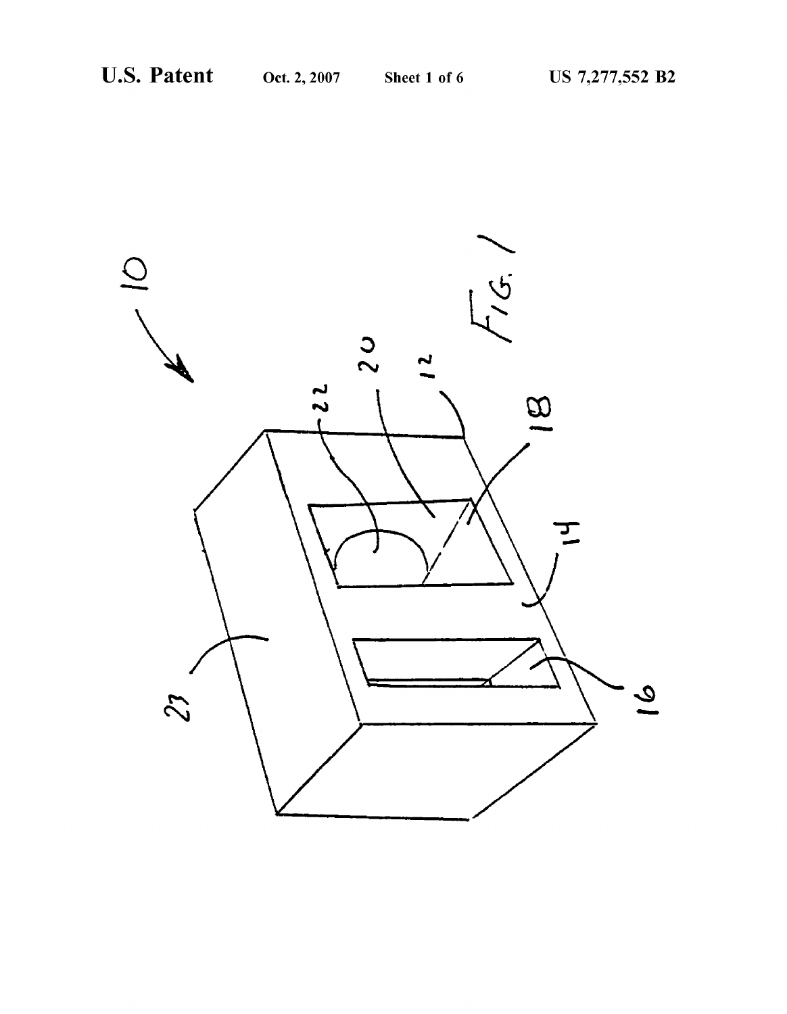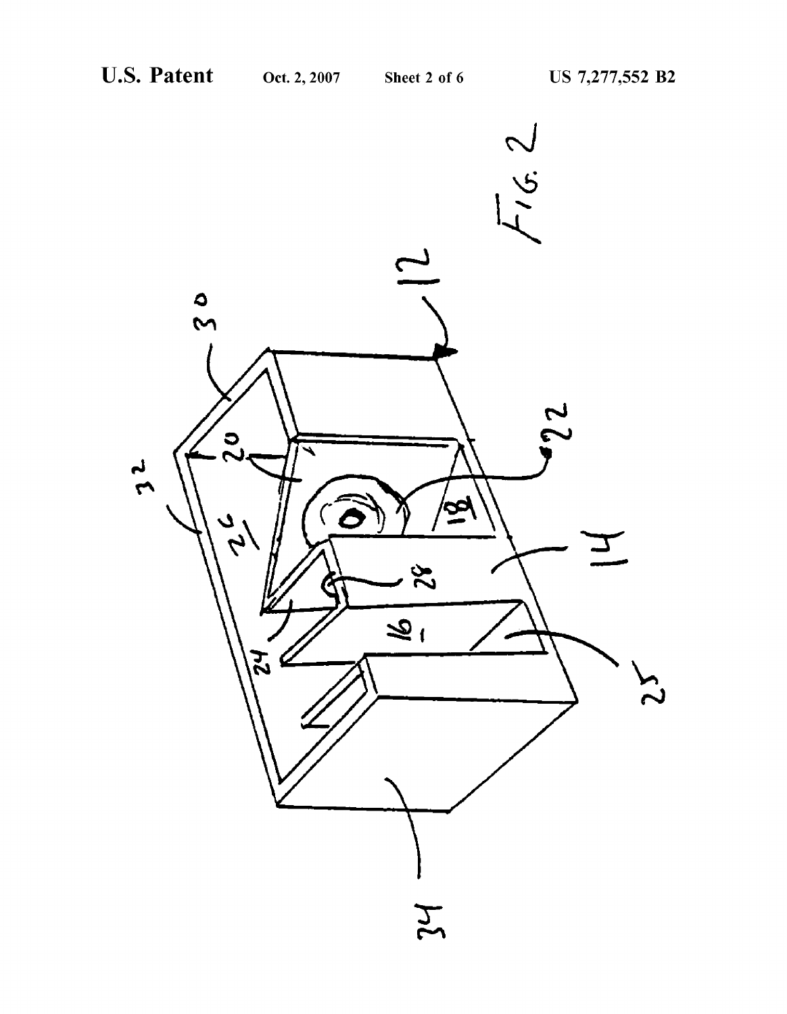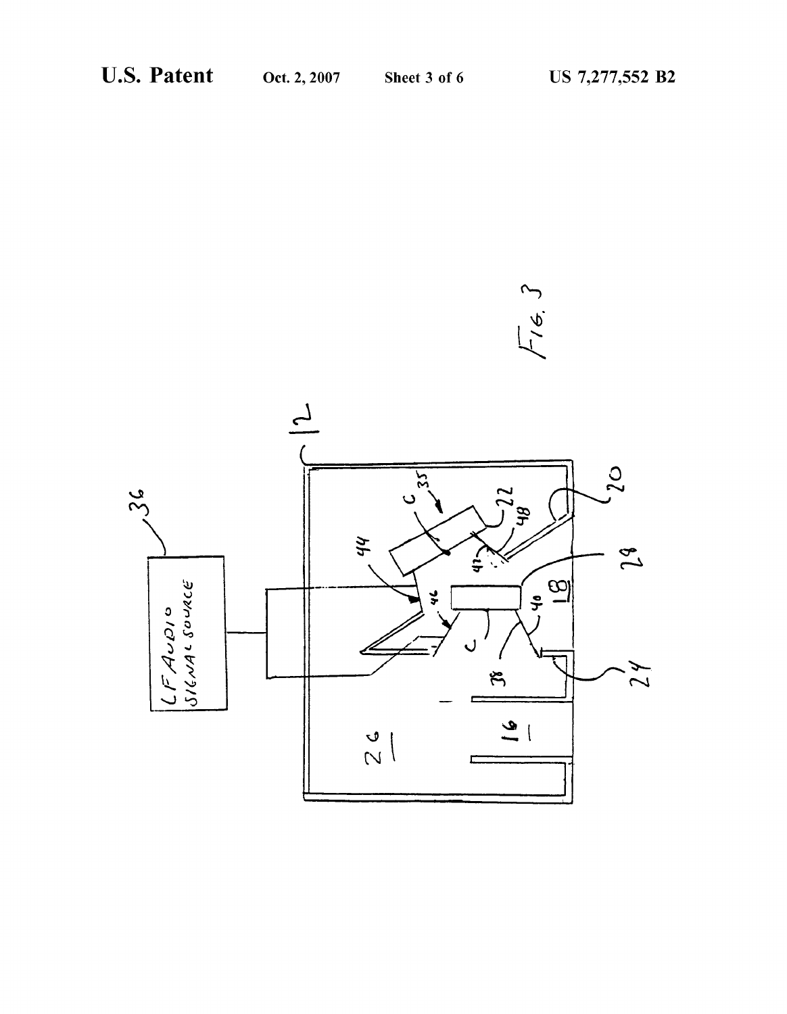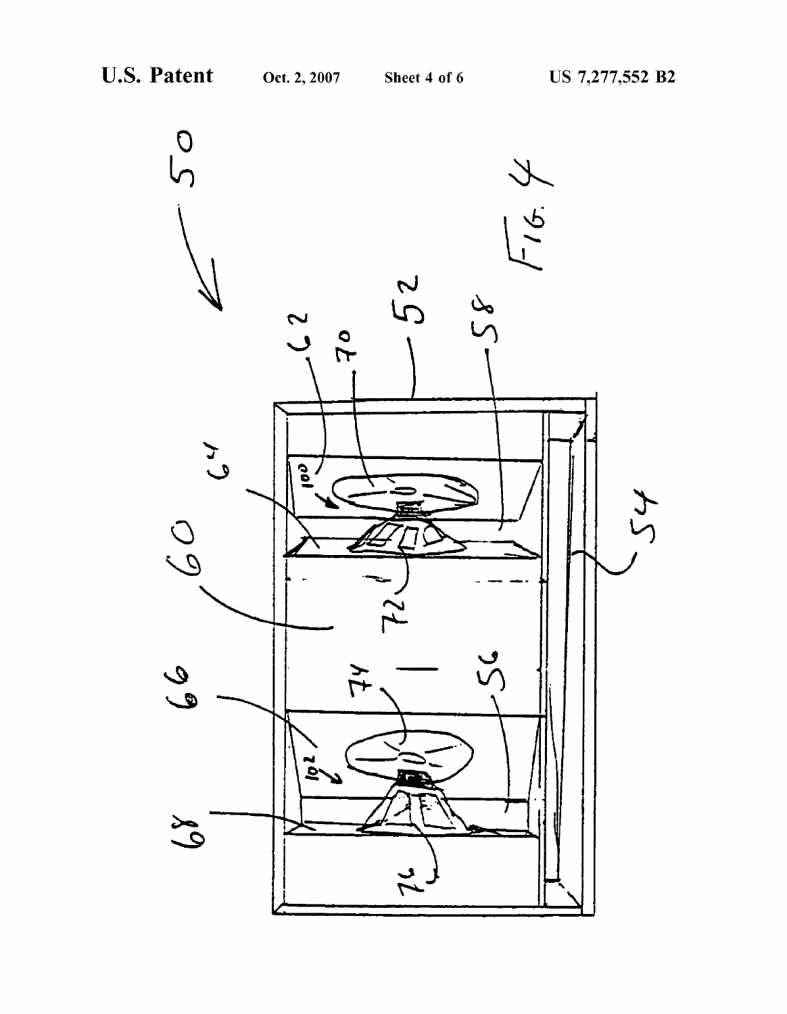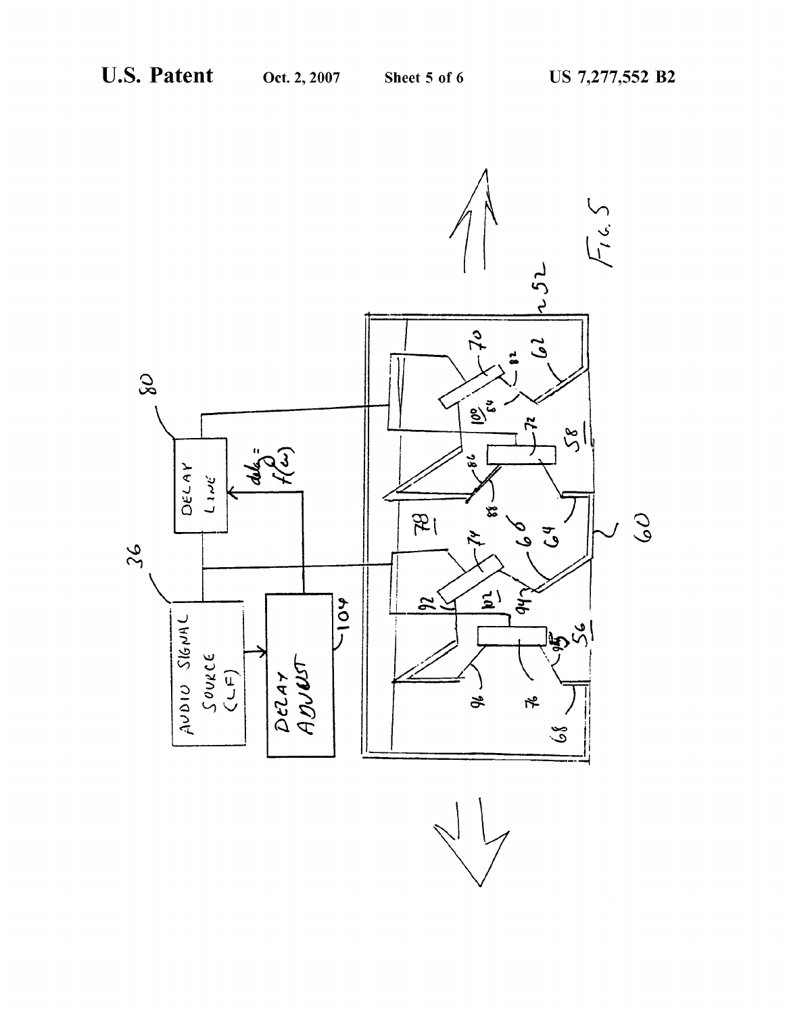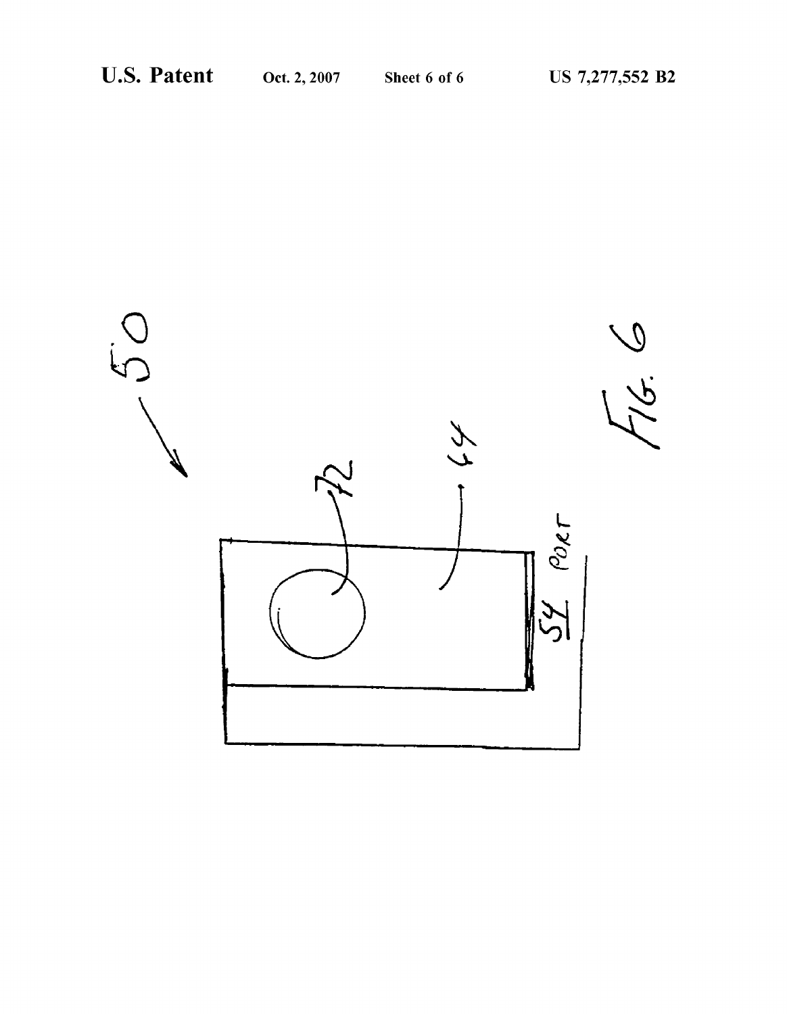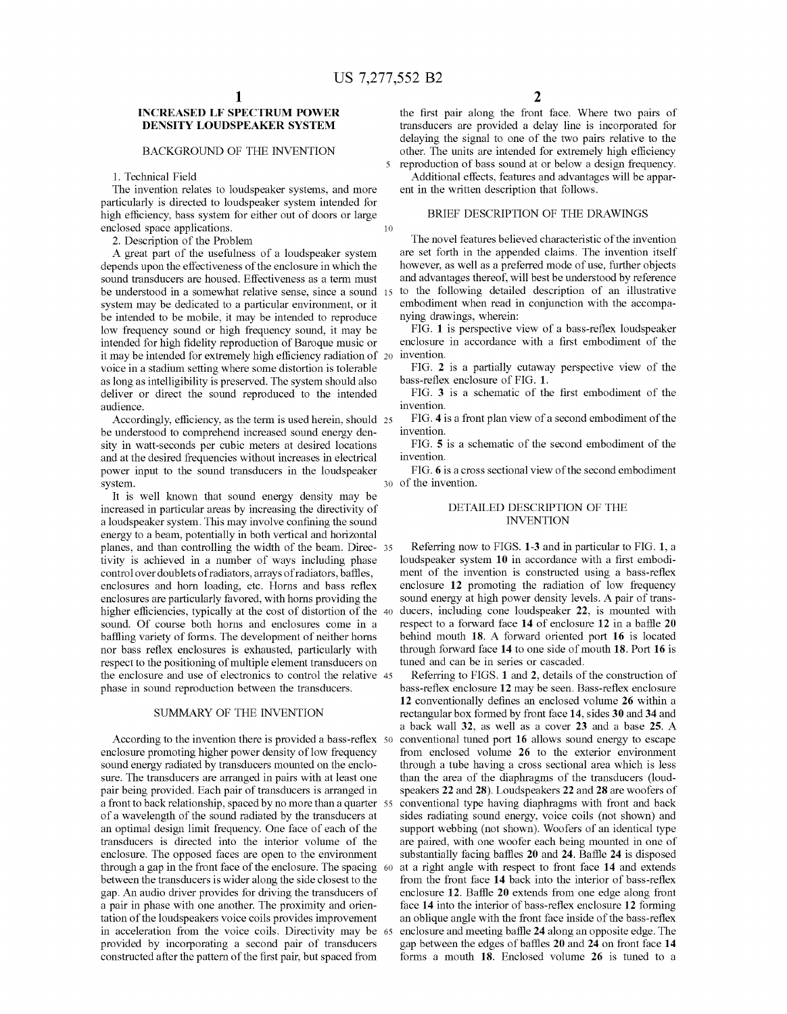$\overline{\mathbf{S}}$ 

# INCREASED LF SPECTRUM POWER DENSITY LOUDSPEAKER SYSTEM

### BACKGROUND OF THE INVENTION

## 1. Technical Field

The invention relates to loudspeaker systems, and more particularly is directed to loudspeaker system intended for high efficiency, bass system for either out of doors or large enclosed space applications.  $10$ 

2. Description of the Problem

A great part of the usefulness of a loudspeaker system depends upon the effectiveness of the enclosure in which the sound transducers are housed. Effectiveness as a term must be understood in a somewhat relative sense, since a sound 15 system may be dedicated to a particular environment, or it be intended to be mobile, it may be intended to reproduce loW frequency sound or high frequency sound, it may be intended for high fidelity reproduction of Baroque music or it may be intended for extremely high efficiency radiation of 20 voice in a stadium setting Where some distortion is tolerable as long as intelligibility is preserved. The system should also deliver or direct the sound reproduced to the intended audience.

Accordingly, efficiency, as the term is used herein, should 25 be understood to comprehend increased sound energy den sity in Watt-seconds per cubic meters at desired locations and at the desired frequencies Without increases in electrical poWer input to the sound transducers in the loudspeaker system.

It is well known that sound energy density may be increased in particular areas by increasing the directivity of a loudspeaker system. This may involve confining the sound energy to a beam, potentially in both vertical and horizontal planes, and than controlling the width of the beam. Direc- 35 tivity is achieved in a number of Ways including phase control over doublets of radiators, arrays of radiators, baffles, enclosures and horn loading, etc. Horns and bass reflex enclosures are particularly favored, With horns providing the higher efficiencies, typically at the cost of distortion of the  $40$ sound. Of course both horns and enclosures come in a baffling variety of forms. The development of neither horns nor bass reflex enclosures is exhausted, particularly with respect to the positioning of multiple element transducers on the enclosure and use of electronics to control the relative 45 phase in sound reproduction between the transducers.

### SUMMARY OF THE INVENTION

According to the invention there is provided a bass-reflex  $\,$  50 enclosure promoting higher power density of low frequency sound energy radiated by transducers mounted on the enclo sure. The transducers are arranged in pairs with at least one pair being provided. Each pair of transducers is arranged in<br>a front to back relationship, spaced by no more than a quarter 55 of a Wavelength of the sound radiated by the transducers at an optimal design limit frequency. One face of each of the transducers is directed into the interior volume of the enclosure. The opposed faces are open to the environment through a gap in the front face of the enclosure. The spacing 60 between the transducers is wider along the side closest to the gap. An audio driver provides for driving the transducers of a pair in phase With one another. The proximity and orien tation of the loudspeakers voice coils provides improvement in acceleration from the voice coils. Directivity may be 65 provided by incorporating a second pair of transducers constructed after the pattern of the first pair, but spaced from

the first pair along the front face. Where two pairs of transducers are provided a delay line is incorporated for delaying the signal to one of the two pairs relative to the other. The units are intended for extremely high efficiency reproduction of bass sound at or beloW a design frequency.

Additional effects, features and advantages will be apparent in the Written description that folloWs.

## BRIEF DESCRIPTION OF THE DRAWINGS

The novel features believed characteristic of the invention are set forth in the appended claims. The invention itself however, as well as a preferred mode of use, further objects and advantages thereof, Will best be understood by reference to the folloWing detailed description of an illustrative embodiment When read in conjunction With the accompa nying draWings, Wherein:

FIG. 1 is perspective view of a bass-reflex loudspeaker enclosure in accordance with a first embodiment of the invention.

FIG. 2 is a partially cutaway perspective view of the bass-reflex enclosure of FIG. 1.

FIG. 3 is a schematic of the first embodiment of the invention.

FIG. 4 is a front plan vieW of a second embodiment of the invention.

FIG. 5 is a schematic of the second embodiment of the invention.

30 of the invention. FIG. 6 is a cross sectional view of the second embodiment

# DETAILED DESCRIPTION OF THE INVENTION

Referring noW to FIGS. 1-3 and in particular to FIG. 1, a loudspeaker system 10 in accordance with a first embodiment of the invention is constructed using a bass-reflex enclosure 12 promoting the radiation of low frequency sound energy at high power density levels. A pair of transducers, including cone loudspeaker 22, is mounted With respect to a forward face  $14$  of enclosure  $12$  in a baffle  $20$ behind mouth 18. A forward oriented port 16 is located through forward face 14 to one side of mouth 18. Port 16 is tuned and can be in series or cascaded.

Referring to FIGS. 1 and 2, details of the construction of bass-reflex enclosure 12 may be seen. Bass-reflex enclosure 12 conventionally defines an enclosed volume 26 within a rectangular box formed by front face 14, sides 30 and 34 and a back Wall 32, as Well as a cover 23 and a base 25. A conventional tuned port 16 allows sound energy to escape from enclosed volume 26 to the exterior environment through a tube having a cross sectional area Which is less than the area of the diaphragms of the transducers (loud speakers 22 and 28). Loudspeakers 22 and 28 are Woofers of conventional type having diaphragms With front and back sides radiating sound energy, voice coils (not shoWn) and support webbing (not shown). Woofers of an identical type are paired, with one woofer each being mounted in one of substantially facing baffles 20 and 24. Baffle 24 is disposed at a right angle With respect to front face 14 and extends from the front face 14 back into the interior of bass-reflex enclosure 12. Baffle 20 extends from one edge along front face 14 into the interior of bass-reflex enclosure 12 forming an oblique angle with the front face inside of the bass-reflex enclosure and meeting baffle 24 along an opposite edge. The gap between the edges of baffles 20 and 24 on front face 14 forms a mouth 18. Enclosed volume 26 is tuned to a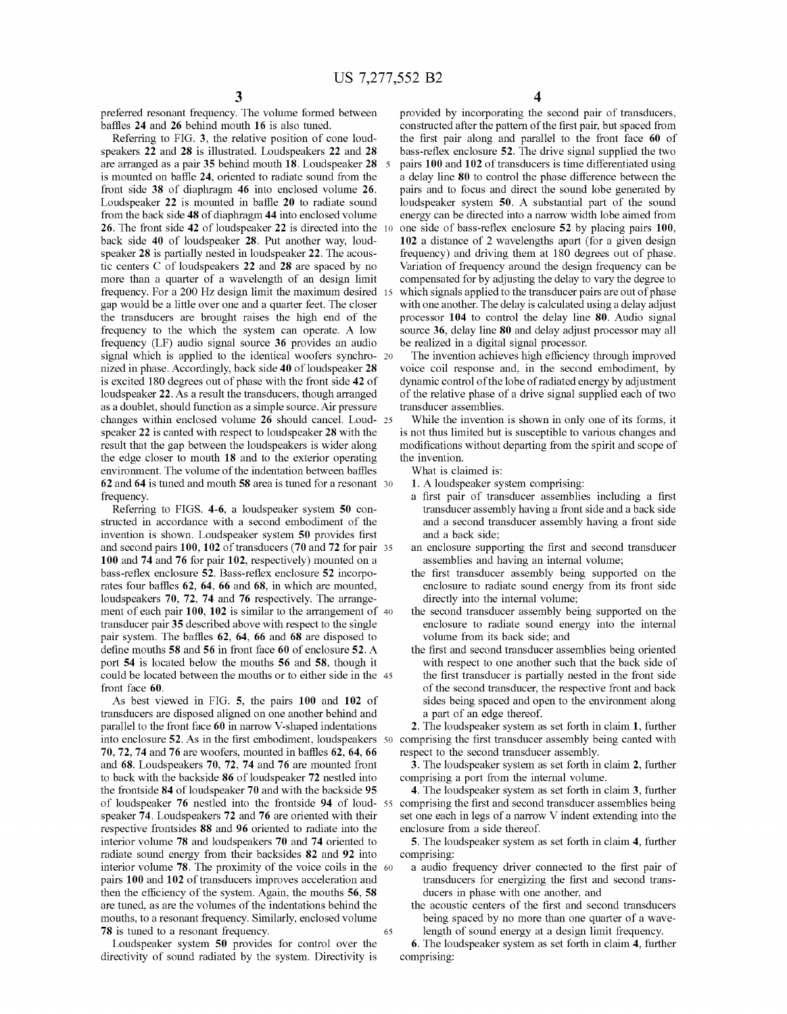preferred resonant frequency. The volume formed between baffles 24 and 26 behind mouth 16 is also tuned.

Referring to FIG. 3, the relative position of cone loud speakers 22 and 28 is illustrated. Loudspeakers 22 and 28 are arranged as a pair 35 behind mouth 18. Loudspeaker 28 is mounted on baffle 24, oriented to radiate sound from the front side 38 of diaphragm 46 into enclosed volume 26. Loudspeaker  $22$  is mounted in baffle  $20$  to radiate sound from the back side 48 of diaphragm 44 into enclosed volume 26. The front side 42 of loudspeaker 22 is directed into the back side 40 of loudspeaker 28. Put another way, loudspeaker 28 is partially nested in loudspeaker 22. The acous tic centers C of loudspeakers 22 and 28 are spaced by no more than a quarter of a Wavelength of an design limit frequency. For a 200 Hz design limit the maximum desired 15 gap Would be a little over one and a quarter feet. The closer the transducers are brought raises the high end of the frequency to the which the system can operate. A low frequency (LF) audio signal source 36 provides an audio signal which is applied to the identical woofers synchro- 20 nized in phase. Accordingly, back side 40 of loudspeaker 28 is excited 180 degrees out of phase With the front side 42 of loudspeaker 22. As a result the transducers, though arranged as a doublet, should function as a simple source. Air pressure changes within enclosed volume 26 should cancel. Loud- 25 speaker 22 is canted With respect to loudspeaker 28 With the result that the gap between the loudspeakers is wider along the edge closer to mouth 18 and to the exterior operating environment. The volume of the indentation between baffles 62 and 64 is tuned and mouth 58 area is tuned for a resonant 30 frequency.

Referring to FIGS. 4-6, a loudspeaker system 50 con structed in accordance With a second embodiment of the invention is shown. Loudspeaker system 50 provides first and second pairs 100, 102 of transducers (70 and 72 for pair 35 100 and 74 and 76 for pair 102, respectively) mounted on a bass-reflex enclosure 52. Bass-reflex enclosure 52 incorporates four baffles 62, 64, 66 and 68, in which are mounted, loudspeakers 70, 72, 74 and 76 respectively. The arrangement of each pair 100, 102 is similar to the arrangement of 40 transducer pair 35 described above With respect to the single pair system. The baffles 62, 64, 66 and 68 are disposed to define mouths  $58$  and  $56$  in front face  $60$  of enclosure  $52$ . A port 54 is located beloW the mouths 56 and 58, though it could be located between the mouths or to either side in the 45 front face 60

As best vieWed in FIG. 5, the pairs 100 and 102 of transducers are disposed aligned on one another behind and parallel to the front face 60 in narrow V-shaped indentations into enclosure 52. As in the first embodiment, loudspeakers 50 70, 72, 74 and 76 are woofers, mounted in baffles 62, 64, 66 and 68. Loudspeakers 70, 72, 74 and 76 are mounted front to back With the backside 86 of loudspeaker 72 nestled into the frontside 84 of loudspeaker 70 and With the backside 95 of loudspeaker 76 nestled into the frontside 94 of loud-55 comprising the first and second transducer assemblies being speaker 74. Loudspeakers 72 and 76 are oriented With their respective frontsides 88 and 96 oriented to radiate into the interior volume 78 and loudspeakers 70 and 74 oriented to radiate sound energy from their backsides 82 and 92 into interior volume 78. The proximity of the voice coils in the 60 pairs 100 and 102 of transducers improves acceleration and then the efficiency of the system. Again, the mouths  $56$ ,  $58$ are tuned, as are the volumes of the indentations behind the mouths, to a resonant frequency. Similarly, enclosed volume 78 is tuned to a resonant frequency. 65

Loudspeaker system 50 provides for control over the directivity of sound radiated by the system. Directivity is provided by incorporating the second pair of transducers, constructed after the pattern of the first pair, but spaced from the first pair along and parallel to the front face 60 of bass-reflex enclosure 52. The drive signal supplied the two pairs 100 and 102 of transducers is time differentiated using a delay line 80 to control the phase difference betWeen the pairs and to focus and direct the sound lobe generated by loudspeaker system 50. A substantial part of the sound energy can be directed into a narrow width lobe aimed from one side of bass-reflex enclosure 52 by placing pairs 100, 102 a distance of 2 Wavelengths apart (for a given design frequency) and driving them at 180 degrees out of phase. Variation of frequency around the design frequency can be compensated for by adjusting the delay to vary the degree to Which signals applied to the transducer pairs are out of phase with one another. The delay is calculated using a delay adjust processor 104 to control the delay line 80. Audio signal source 36, delay line 80 and delay adjust processor may all be realized in a digital signal processor.

The invention achieves high efficiency through improved voice coil response and, in the second embodiment, by dynamic control of the lobe of radiated energy by adjustment of the relative phase of a drive signal supplied each of tWo transducer assemblies.

While the invention is shown in only one of its forms, it is not thus limited but is susceptible to various changes and modifications without departing from the spirit and scope of the invention.

What is claimed is:

- 
- 1. A loudspeaker system comprising:<br>a first pair of transducer assemblies including a first transducer assembly having a front side and a back side and a second transducer assembly having a front side and a back side;
- an enclosure supporting the first and second transducer assemblies and having an internal volume;
- the first transducer assembly being supported on the enclosure to radiate sound energy from its front side directly into the internal volume;
- the second transducer assembly being supported on the enclosure to radiate sound energy into the internal volume from its back side; and
- the first and second transducer assemblies being oriented with respect to one another such that the back side of the first transducer is partially nested in the front side of the second transducer, the respective front and back sides being spaced and open to the environment along a part of an edge thereof.

2. The loudspeaker system as set forth in claim 1, further comprising the first transducer assembly being canted with respect to the second transducer assembly.

3. The loudspeaker system as set forth in claim 2, further comprising a port from the internal volume.

4. The loudspeaker system as set forth in claim 3, further set one each in legs of a narrow V indent extending into the enclosure from a side thereof.

5. The loudspeaker system as set forth in claim 4, further

- comprising:<br>a audio frequency driver connected to the first pair of transducers for energizing the first and second transducers in phase With one another, and
	- the acoustic centers of the first and second transducers being spaced by no more than one quarter of a wavelength of sound energy at a design limit frequency.

6. The loudspeaker system as set forth in claim 4, further comprising: